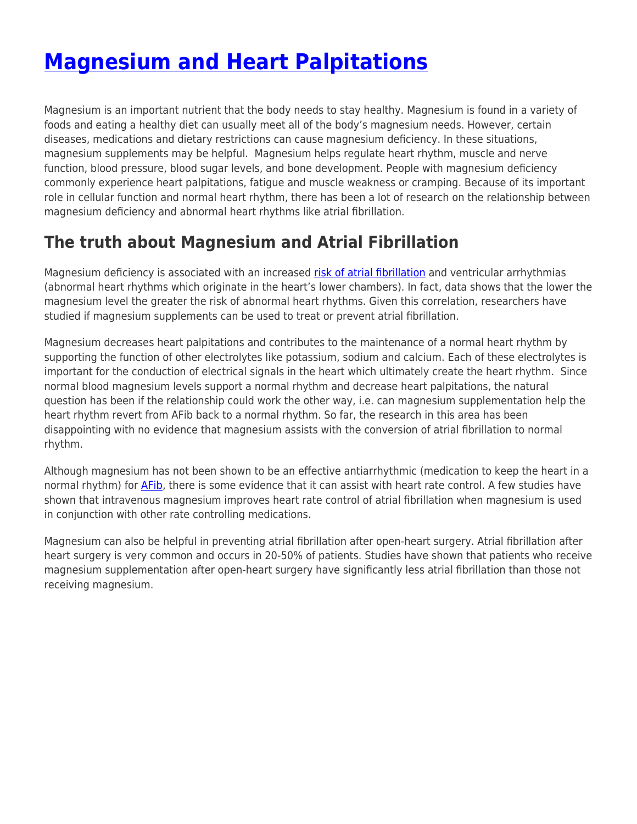# **[Magnesium and Heart Palpitations](https://fixafib.com/the-scoop/afib-treatment/magnesium-and-heart-palpitations/)**

Magnesium is an important nutrient that the body needs to stay healthy. Magnesium is found in a variety of foods and eating a healthy diet can usually meet all of the body's magnesium needs. However, certain diseases, medications and dietary restrictions can cause magnesium deficiency. In these situations, magnesium supplements may be helpful. Magnesium helps regulate heart rhythm, muscle and nerve function, blood pressure, blood sugar levels, and bone development. People with magnesium deficiency commonly experience heart palpitations, fatigue and muscle weakness or cramping. Because of its important role in cellular function and normal heart rhythm, there has been a lot of research on the relationship between magnesium deficiency and abnormal heart rhythms like atrial fibrillation.

## **The truth about Magnesium and Atrial Fibrillation**

Magnesium deficiency is associated with an increased [risk of atrial fibrillation](https://fixafib.com/the-scoop/afib-causes/afib-risk-factors-and-risk-stratification/) and ventricular arrhythmias (abnormal heart rhythms which originate in the heart's lower chambers). In fact, data shows that the lower the magnesium level the greater the risk of abnormal heart rhythms. Given this correlation, researchers have studied if magnesium supplements can be used to treat or prevent atrial fibrillation.

Magnesium decreases heart palpitations and contributes to the maintenance of a normal heart rhythm by supporting the function of other electrolytes like potassium, sodium and calcium. Each of these electrolytes is important for the conduction of electrical signals in the heart which ultimately create the heart rhythm. Since normal blood magnesium levels support a normal rhythm and decrease heart palpitations, the natural question has been if the relationship could work the other way, i.e. can magnesium supplementation help the heart rhythm revert from AFib back to a normal rhythm. So far, the research in this area has been disappointing with no evidence that magnesium assists with the conversion of atrial fibrillation to normal rhythm.

Although magnesium has not been shown to be an effective antiarrhythmic (medication to keep the heart in a normal rhythm) for [AFib](https://fixafib.com/the-scoop/afib-causes/what-is-afib/), there is some evidence that it can assist with heart rate control. A few studies have shown that intravenous magnesium improves heart rate control of atrial fibrillation when magnesium is used in conjunction with other rate controlling medications.

Magnesium can also be helpful in preventing atrial fibrillation after open-heart surgery. Atrial fibrillation after heart surgery is very common and occurs in 20-50% of patients. Studies have shown that patients who receive magnesium supplementation after open-heart surgery have significantly less atrial fibrillation than those not receiving magnesium.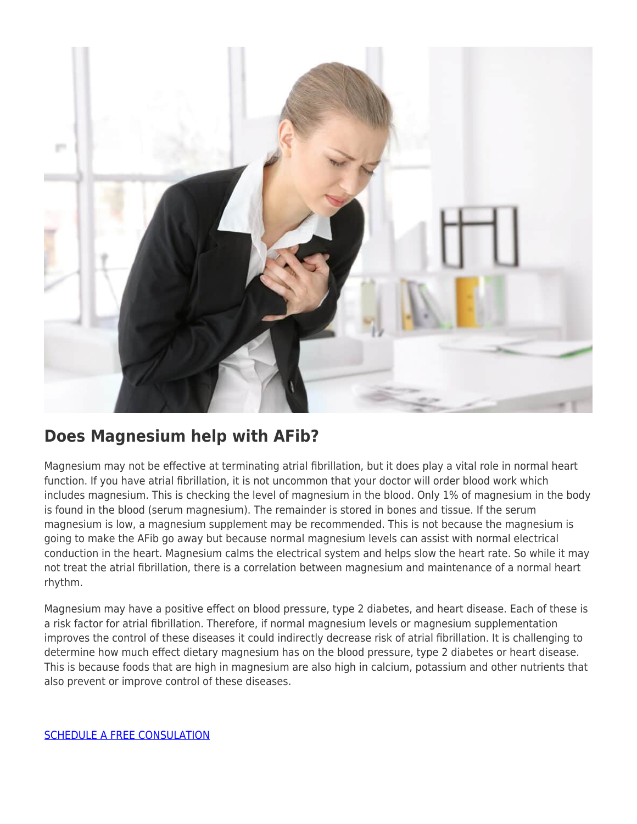

#### **Does Magnesium help with AFib?**

Magnesium may not be effective at terminating atrial fibrillation, but it does play a vital role in normal heart function. If you have atrial fibrillation, it is not uncommon that your doctor will order blood work which includes magnesium. This is checking the level of magnesium in the blood. Only 1% of magnesium in the body is found in the blood (serum magnesium). The remainder is stored in bones and tissue. If the serum magnesium is low, a magnesium supplement may be recommended. This is not because the magnesium is going to make the AFib go away but because normal magnesium levels can assist with normal electrical conduction in the heart. Magnesium calms the electrical system and helps slow the heart rate. So while it may not treat the atrial fibrillation, there is a correlation between magnesium and maintenance of a normal heart rhythm.

Magnesium may have a positive effect on blood pressure, type 2 diabetes, and heart disease. Each of these is a risk factor for atrial fibrillation. Therefore, if normal magnesium levels or magnesium supplementation improves the control of these diseases it could indirectly decrease risk of atrial fibrillation. It is challenging to determine how much effect dietary magnesium has on the blood pressure, type 2 diabetes or heart disease. This is because foods that are high in magnesium are also high in calcium, potassium and other nutrients that also prevent or improve control of these diseases.

[SCHEDULE A FREE CONSULATION](https://fixafib.com/contact/)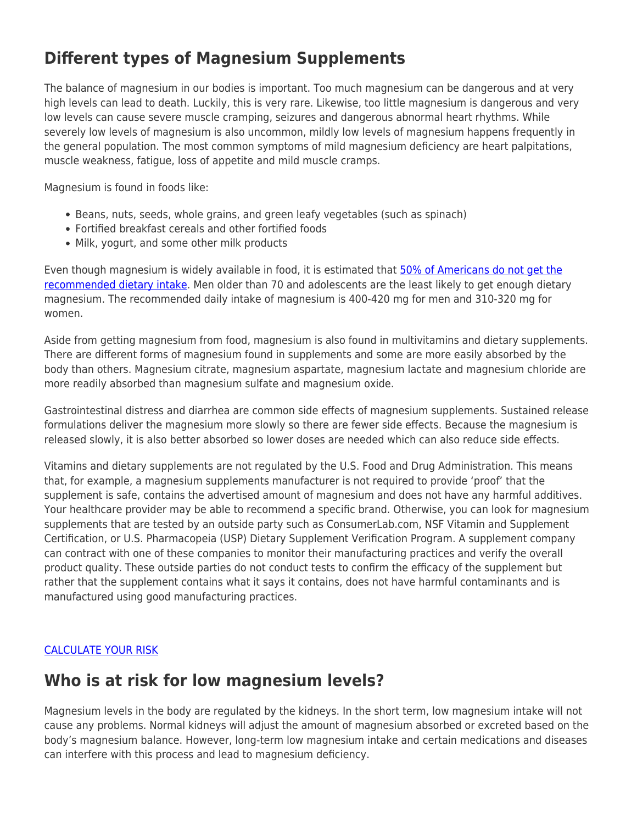### **Different types of Magnesium Supplements**

The balance of magnesium in our bodies is important. Too much magnesium can be dangerous and at very high levels can lead to death. Luckily, this is very rare. Likewise, too little magnesium is dangerous and very low levels can cause severe muscle cramping, seizures and dangerous abnormal heart rhythms. While severely low levels of magnesium is also uncommon, mildly low levels of magnesium happens frequently in the general population. The most common symptoms of mild magnesium deficiency are heart palpitations, muscle weakness, fatigue, loss of appetite and mild muscle cramps.

Magnesium is found in foods like:

- Beans, nuts, seeds, whole grains, and green leafy vegetables (such as spinach)
- Fortified breakfast cereals and other fortified foods
- Milk, yogurt, and some other milk products

Even though magnesium is widely available in food, it is estimated that [50% of Americans do not get the](https://www.crnusa.org/resources/americans-do-not-get-all-nutrients-they-need-food) [recommended dietary intake.](https://www.crnusa.org/resources/americans-do-not-get-all-nutrients-they-need-food) Men older than 70 and adolescents are the least likely to get enough dietary magnesium. The recommended daily intake of magnesium is 400-420 mg for men and 310-320 mg for women.

Aside from getting magnesium from food, magnesium is also found in multivitamins and dietary supplements. There are different forms of magnesium found in supplements and some are more easily absorbed by the body than others. Magnesium citrate, magnesium aspartate, magnesium lactate and magnesium chloride are more readily absorbed than magnesium sulfate and magnesium oxide.

Gastrointestinal distress and diarrhea are common side effects of magnesium supplements. Sustained release formulations deliver the magnesium more slowly so there are fewer side effects. Because the magnesium is released slowly, it is also better absorbed so lower doses are needed which can also reduce side effects.

Vitamins and dietary supplements are not regulated by the U.S. Food and Drug Administration. This means that, for example, a magnesium supplements manufacturer is not required to provide 'proof' that the supplement is safe, contains the advertised amount of magnesium and does not have any harmful additives. Your healthcare provider may be able to recommend a specific brand. Otherwise, you can look for magnesium supplements that are tested by an outside party such as ConsumerLab.com, NSF Vitamin and Supplement Certification, or U.S. Pharmacopeia (USP) Dietary Supplement Verification Program. A supplement company can contract with one of these companies to monitor their manufacturing practices and verify the overall product quality. These outside parties do not conduct tests to confirm the efficacy of the supplement but rather that the supplement contains what it says it contains, does not have harmful contaminants and is manufactured using good manufacturing practices.

#### [CALCULATE YOUR RISK](https://fixafib.com/risk-calculator/)

#### **Who is at risk for low magnesium levels?**

Magnesium levels in the body are regulated by the kidneys. In the short term, low magnesium intake will not cause any problems. Normal kidneys will adjust the amount of magnesium absorbed or excreted based on the body's magnesium balance. However, long-term low magnesium intake and certain medications and diseases can interfere with this process and lead to magnesium deficiency.